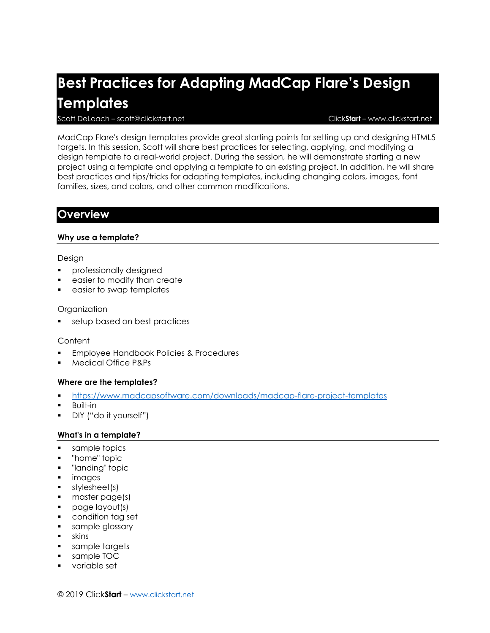# **Best Practices for Adapting MadCap Flare's Design Templates**

#### Scott DeLoach – scott@clickstart.net Click**Start** – www.clickstart.net

MadCap Flare's design templates provide great starting points for setting up and designing HTML5 targets. In this session, Scott will share best practices for selecting, applying, and modifying a design template to a real-world project. During the session, he will demonstrate starting a new project using a template and applying a template to an existing project. In addition, he will share best practices and tips/tricks for adapting templates, including changing colors, images, font families, sizes, and colors, and other common modifications.

### **Overview**

#### **Why use a template?**

#### Design

- professionally designed
- easier to modify than create
- easier to swap templates

#### Organization

setup based on best practices

#### **Content**

- **Employee Handbook Policies & Procedures**
- Medical Office P&Ps

#### **Where are the templates?**

- <https://www.madcapsoftware.com/downloads/madcap-flare-project-templates>
- **Built-in**
- DIY ("do it yourself")

#### **What's in a template?**

- sample topics
- "home" topic
- "landing" topic
- images
- **■** stylesheet(s)
- master page(s)
- page layout(s)
- condition tag set
- **•** sample glossary
- skins
- sample targets
- sample TOC
- variable set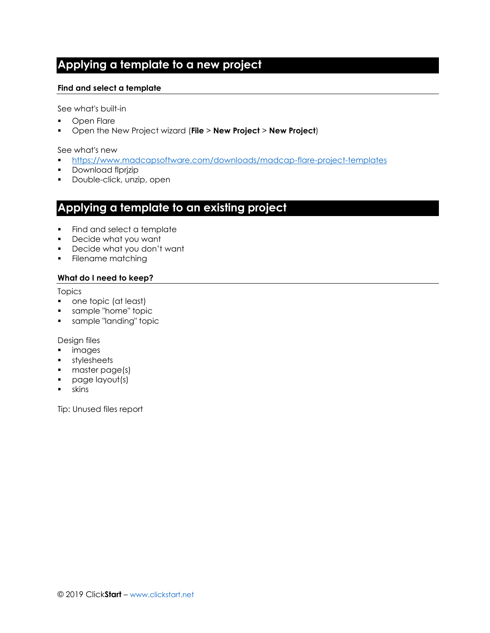# **Applying a template to a new project**

#### **Find and select a template**

See what's built-in

- Open Flare
- Open the New Project wizard (**File** > **New Project** > **New Project**)

#### See what's new

- <https://www.madcapsoftware.com/downloads/madcap-flare-project-templates>
- Download flprjzip
- **•** Double-click, unzip, open

### **Applying a template to an existing project**

- Find and select a template
- Decide what you want
- Decide what you don't want
- Filename matching

#### **What do I need to keep?**

#### Topics

- one topic (at least)
- sample "home" topic
- **•** sample "landing" topic

#### Design files

- images
- stylesheets
- master page(s)
- page layout(s)
- skins

Tip: Unused files report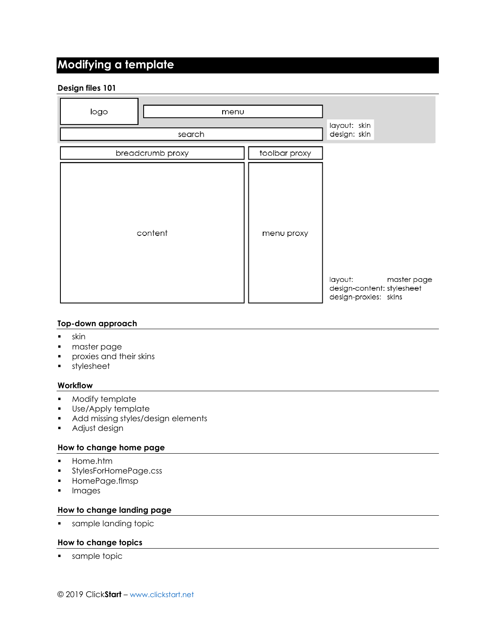# **Modifying a template**

#### **Design files 101**

| logo<br>menu     |               | layout: skin                                                                  |
|------------------|---------------|-------------------------------------------------------------------------------|
| search           |               | design: skin                                                                  |
| breadcrumb proxy | toolbar proxy |                                                                               |
| content          | menu proxy    | layout:<br>master page<br>design-content: stylesheet<br>design-proxies: skins |

#### **Top-down approach**

- skin
- master page
- **•** proxies and their skins
- stylesheet

#### **Workflow**

- Modify template
- Use/Apply template
- Add missing styles/design elements
- **■** Adjust design

#### **How to change home page**

- Home.htm
- **•** StylesForHomePage.css
- HomePage.flmsp
- Images

#### **How to change landing page**

■ sample landing topic

#### **How to change topics**

■ sample topic